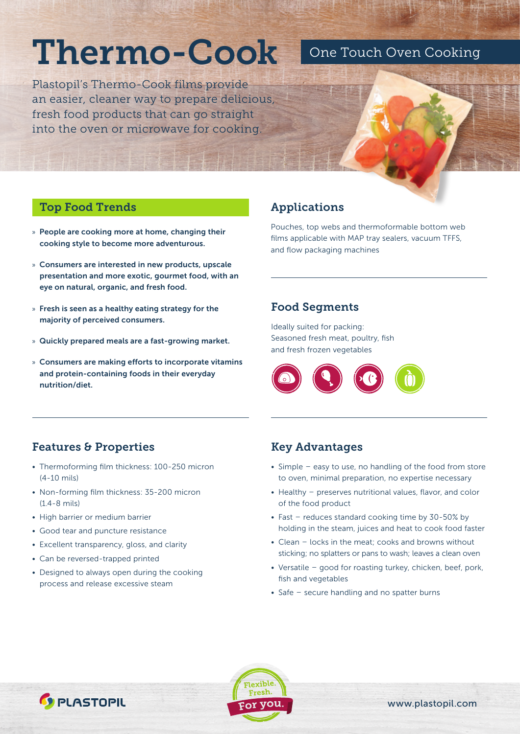# Thermo-Cook One Touch Oven Cooking

Plastopil's Thermo-Cook films provide an easier, cleaner way to prepare delicious, fresh food products that can go straight into the oven or microwave for cooking.

#### Top Food Trends

- » People are cooking more at home, changing their cooking style to become more adventurous.
- » Consumers are interested in new products, upscale presentation and more exotic, gourmet food, with an eye on natural, organic, and fresh food.
- » Fresh is seen as a healthy eating strategy for the majority of perceived consumers.
- » Quickly prepared meals are a fast-growing market.
- » Consumers are making efforts to incorporate vitamins and protein-containing foods in their everyday nutrition/diet.

## Applications

Pouches, top webs and thermoformable bottom web films applicable with MAP tray sealers, vacuum TFFS, and flow packaging machines

#### Food Segments

Ideally suited for packing: Seasoned fresh meat, poultry, fish and fresh frozen vegetables



#### Features & Properties

- Thermoforming film thickness: 100-250 micron (4-10 mils)
- Non-forming film thickness: 35-200 micron (1.4-8 mils)
- High barrier or medium barrier
- Good tear and puncture resistance
- Excellent transparency, gloss, and clarity
- Can be reversed-trapped printed

**C** PLASTOPIL

• Designed to always open during the cooking process and release excessive steam

#### Key Advantages

- Simple easy to use, no handling of the food from store to oven, minimal preparation, no expertise necessary
- Healthy preserves nutritional values, flavor, and color of the food product
- Fast reduces standard cooking time by 30-50% by holding in the steam, juices and heat to cook food faster
- Clean locks in the meat; cooks and browns without sticking; no splatters or pans to wash; leaves a clean oven
- Versatile good for roasting turkey, chicken, beef, pork, fish and vegetables
- Safe secure handling and no spatter burns